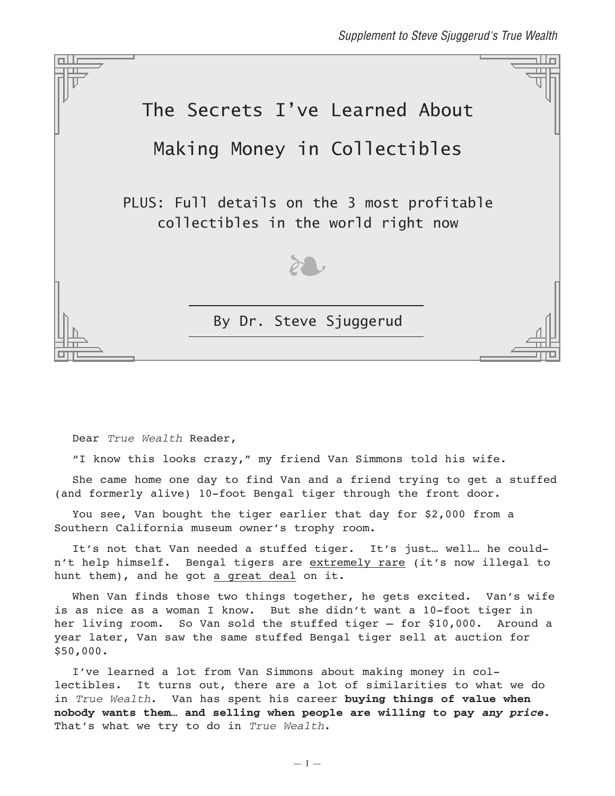

Dear True Wealth Reader,

"I know this looks crazy," my friend Van Simmons told his wife.

She came home one day to find Van and a friend trying to get a stuffed (and formerly alive) 10-foot Bengal tiger through the front door.

You see, Van bought the tiger earlier that day for \$2,000 from a Southern California museum owner's trophy room.

It's not that Van needed a stuffed tiger. It's just… well… he couldn't help himself. Bengal tigers are extremely rare (it's now illegal to hunt them), and he got a great deal on it.

When Van finds those two things together, he gets excited. Van's wife is as nice as a woman I know. But she didn't want a 10-foot tiger in her living room. So Van sold the stuffed tiger – for \$10,000. Around a year later, Van saw the same stuffed Bengal tiger sell at auction for \$50,000.

I've learned a lot from Van Simmons about making money in collectibles. It turns out, there are a lot of similarities to what we do in True Wealth. Van has spent his career **buying things of value when nobody wants them… and selling when people are willing to pay any price.** That's what we try to do in True Wealth.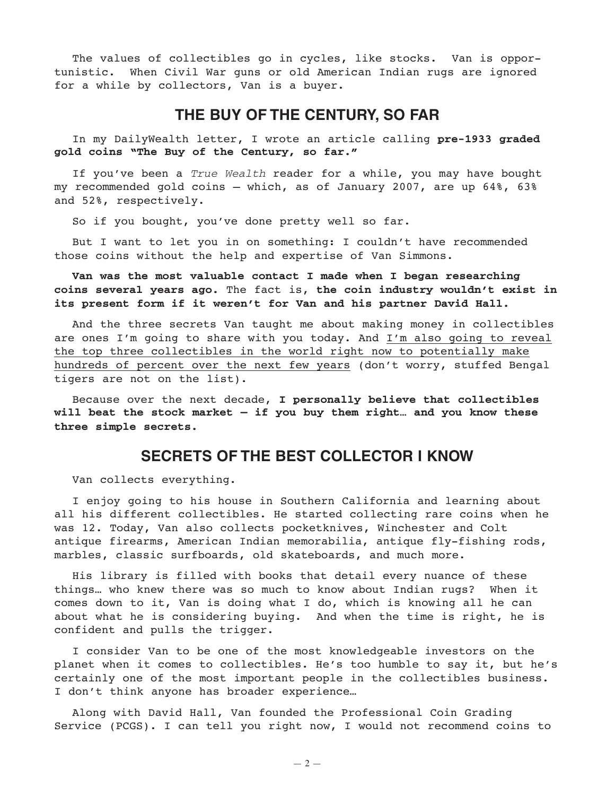The values of collectibles go in cycles, like stocks. Van is opportunistic. When Civil War guns or old American Indian rugs are ignored for a while by collectors, Van is a buyer.

# **THE BUY OF THE CENTURY, SO FAR**

In my DailyWealth letter, I wrote an article calling **pre-1933 graded gold coins "The Buy of the Century, so far."**

If you've been a True Wealth reader for a while, you may have bought my recommended gold coins — which, as of January 2007, are up 64%, 63% and 52%, respectively.

So if you bought, you've done pretty well so far.

But I want to let you in on something: I couldn't have recommended those coins without the help and expertise of Van Simmons.

#### **Van was the most valuable contact I made when I began researching coins several years ago.** The fact is, **the coin industry wouldn't exist in its present form if it weren't for Van and his partner David Hall.**

And the three secrets Van taught me about making money in collectibles are ones I'm going to share with you today. And I'm also going to reveal the top three collectibles in the world right now to potentially make hundreds of percent over the next few years (don't worry, stuffed Bengal tigers are not on the list).

Because over the next decade, **I personally believe that collectibles will beat the stock market — if you buy them right… and you know these three simple secrets.**

## **SECRETS OF THE BEST COLLECTOR I KNOW**

Van collects everything.

I enjoy going to his house in Southern California and learning about all his different collectibles. He started collecting rare coins when he was 12. Today, Van also collects pocketknives, Winchester and Colt antique firearms, American Indian memorabilia, antique fly-fishing rods, marbles, classic surfboards, old skateboards, and much more.

His library is filled with books that detail every nuance of these things… who knew there was so much to know about Indian rugs? When it comes down to it, Van is doing what I do, which is knowing all he can about what he is considering buying. And when the time is right, he is confident and pulls the trigger.

I consider Van to be one of the most knowledgeable investors on the planet when it comes to collectibles. He's too humble to say it, but he's certainly one of the most important people in the collectibles business. I don't think anyone has broader experience…

Along with David Hall, Van founded the Professional Coin Grading Service (PCGS). I can tell you right now, I would not recommend coins to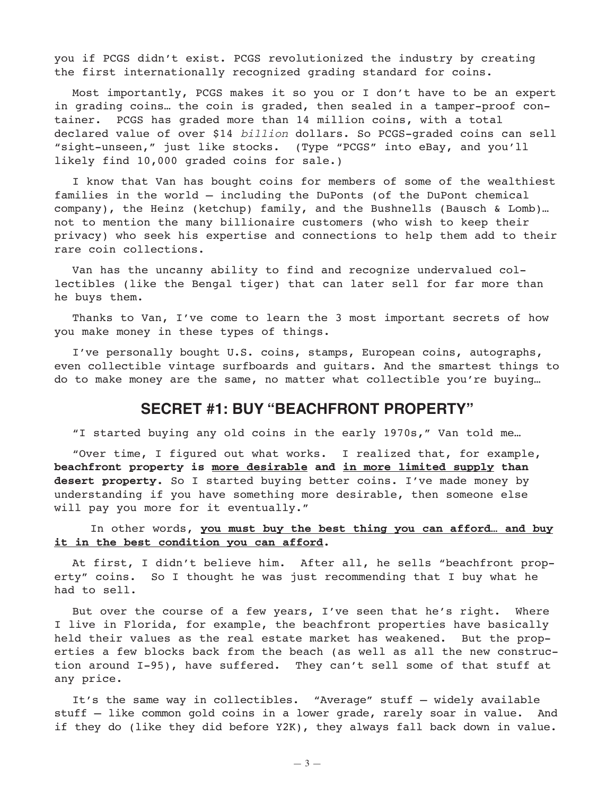you if PCGS didn't exist. PCGS revolutionized the industry by creating the first internationally recognized grading standard for coins.

Most importantly, PCGS makes it so you or I don't have to be an expert in grading coins… the coin is graded, then sealed in a tamper-proof container. PCGS has graded more than 14 million coins, with a total declared value of over \$14 billion dollars. So PCGS-graded coins can sell "sight-unseen," just like stocks. (Type "PCGS" into eBay, and you'll likely find 10,000 graded coins for sale.)

I know that Van has bought coins for members of some of the wealthiest families in the world — including the DuPonts (of the DuPont chemical company), the Heinz (ketchup) family, and the Bushnells (Bausch & Lomb)… not to mention the many billionaire customers (who wish to keep their privacy) who seek his expertise and connections to help them add to their rare coin collections.

Van has the uncanny ability to find and recognize undervalued collectibles (like the Bengal tiger) that can later sell for far more than he buys them.

Thanks to Van, I've come to learn the 3 most important secrets of how you make money in these types of things.

I've personally bought U.S. coins, stamps, European coins, autographs, even collectible vintage surfboards and guitars. And the smartest things to do to make money are the same, no matter what collectible you're buying…

## **SECRET #1: BUY "BEACHFRONT PROPERTY"**

"I started buying any old coins in the early 1970s," Van told me…

"Over time, I figured out what works. I realized that, for example, **beachfront property is more desirable and in more limited supply than desert property.** So I started buying better coins. I've made money by understanding if you have something more desirable, then someone else will pay you more for it eventually."

#### In other words, **you must buy the best thing you can afford… and buy it in the best condition you can afford.**

At first, I didn't believe him. After all, he sells "beachfront property" coins. So I thought he was just recommending that I buy what he had to sell.

But over the course of a few years, I've seen that he's right. Where I live in Florida, for example, the beachfront properties have basically held their values as the real estate market has weakened. But the properties a few blocks back from the beach (as well as all the new construction around I-95), have suffered. They can't sell some of that stuff at any price.

It's the same way in collectibles. "Average" stuff – widely available stuff – like common gold coins in a lower grade, rarely soar in value. And if they do (like they did before Y2K), they always fall back down in value.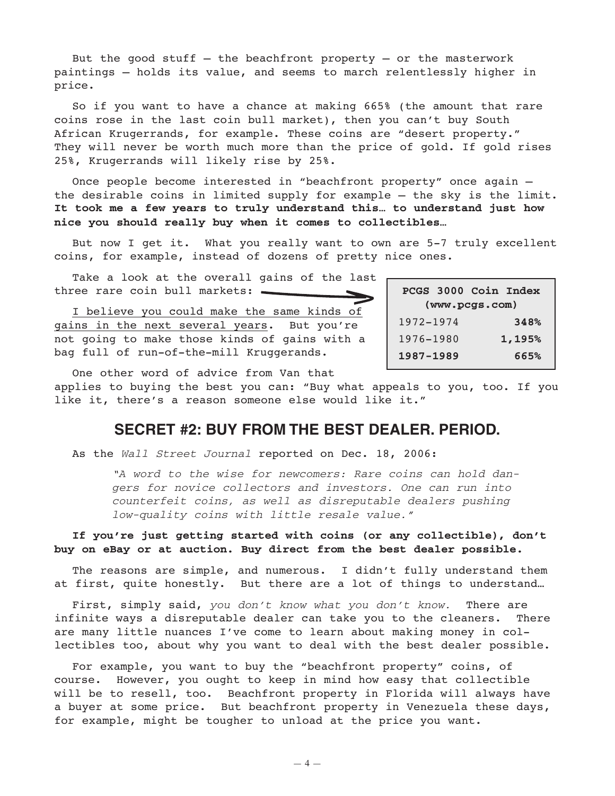But the good stuff  $-$  the beachfront property  $-$  or the masterwork paintings – holds its value, and seems to march relentlessly higher in price.

So if you want to have a chance at making 665% (the amount that rare coins rose in the last coin bull market), then you can't buy South African Krugerrands, for example. These coins are "desert property." They will never be worth much more than the price of gold. If gold rises 25%, Krugerrands will likely rise by 25%.

Once people become interested in "beachfront property" once again the desirable coins in limited supply for example — the sky is the limit. **It took me a few years to truly understand this… to understand just how nice you should really buy when it comes to collectibles…**

But now I get it. What you really want to own are 5-7 truly excellent coins, for example, instead of dozens of pretty nice ones.

Take a look at the overall gains of the last three rare coin bull markets:  $\equiv$ 

I believe you could make the same kinds of gains in the next several years. But you're not going to make those kinds of gains with a bag full of run-of-the-mill Kruggerands.

**PCGS 3000 Coin Index (www.pcgs.com)** 1972-1974 **348%** 1976-1980 **1,195% 1987-1989 665%**

One other word of advice from Van that

applies to buying the best you can: "Buy what appeals to you, too. If you like it, there's a reason someone else would like it."

## **SECRET #2: BUY FROM THE BEST DEALER. PERIOD.**

As the Wall Street Journal reported on Dec. 18, 2006:

"A word to the wise for newcomers: Rare coins can hold dangers for novice collectors and investors. One can run into counterfeit coins, as well as disreputable dealers pushing low-quality coins with little resale value."

**If you're just getting started with coins (or any collectible), don't buy on eBay or at auction. Buy direct from the best dealer possible.**

The reasons are simple, and numerous. I didn't fully understand them at first, quite honestly. But there are a lot of things to understand…

First, simply said, you don't know what you don't know. There are infinite ways a disreputable dealer can take you to the cleaners. There are many little nuances I've come to learn about making money in collectibles too, about why you want to deal with the best dealer possible.

For example, you want to buy the "beachfront property" coins, of course. However, you ought to keep in mind how easy that collectible will be to resell, too. Beachfront property in Florida will always have a buyer at some price. But beachfront property in Venezuela these days, for example, might be tougher to unload at the price you want.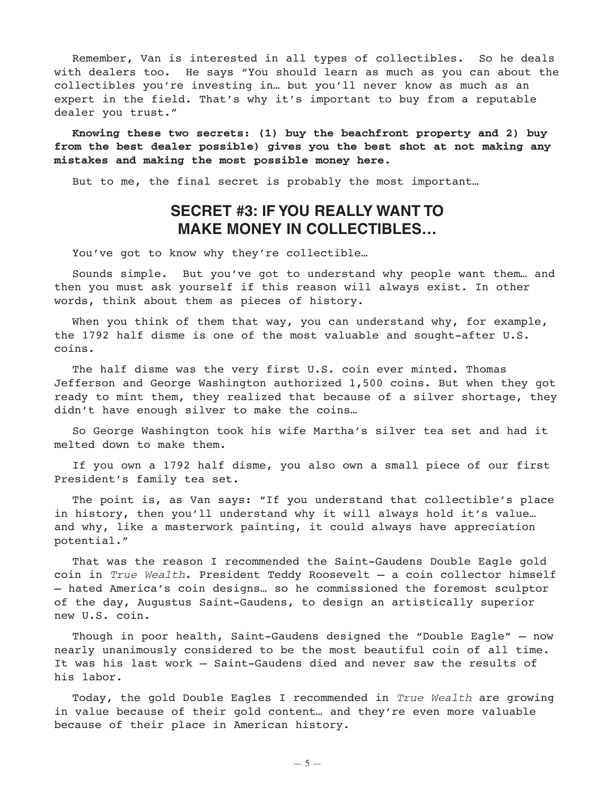Remember, Van is interested in all types of collectibles. So he deals with dealers too. He says "You should learn as much as you can about the collectibles you're investing in… but you'll never know as much as an expert in the field. That's why it's important to buy from a reputable dealer you trust."

**Knowing these two secrets: (1) buy the beachfront property and 2) buy from the best dealer possible) gives you the best shot at not making any mistakes and making the most possible money here.**

But to me, the final secret is probably the most important…

# **SECRET #3: IF YOU REALLY WANT TO MAKE MONEY IN COLLECTIBLES…**

You've got to know why they're collectible...

Sounds simple. But you've got to understand why people want them… and then you must ask yourself if this reason will always exist. In other words, think about them as pieces of history.

When you think of them that way, you can understand why, for example, the 1792 half disme is one of the most valuable and sought-after U.S. coins.

The half disme was the very first U.S. coin ever minted. Thomas Jefferson and George Washington authorized 1,500 coins. But when they got ready to mint them, they realized that because of a silver shortage, they didn't have enough silver to make the coins…

So George Washington took his wife Martha's silver tea set and had it melted down to make them.

If you own a 1792 half disme, you also own a small piece of our first President's family tea set.

The point is, as Van says: "If you understand that collectible's place in history, then you'll understand why it will always hold it's value… and why, like a masterwork painting, it could always have appreciation potential."

That was the reason I recommended the Saint-Gaudens Double Eagle gold coin in True Wealth. President Teddy Roosevelt — a coin collector himself — hated America's coin designs… so he commissioned the foremost sculptor of the day, Augustus Saint-Gaudens, to design an artistically superior new U.S. coin.

Though in poor health, Saint-Gaudens designed the "Double Eagle" — now nearly unanimously considered to be the most beautiful coin of all time. It was his last work — Saint-Gaudens died and never saw the results of his labor.

Today, the gold Double Eagles I recommended in True Wealth are growing in value because of their gold content… and they're even more valuable because of their place in American history.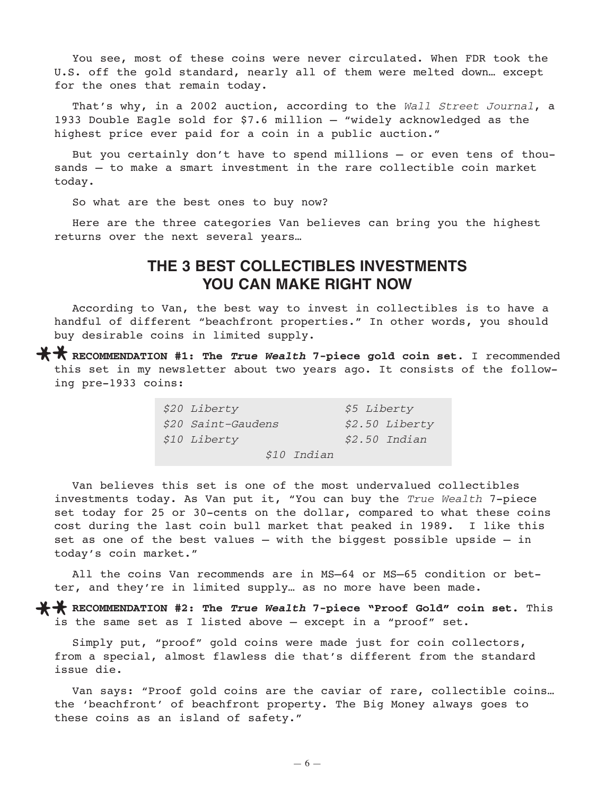You see, most of these coins were never circulated. When FDR took the U.S. off the gold standard, nearly all of them were melted down… except for the ones that remain today.

That's why, in a 2002 auction, according to the Wall Street Journal, a 1933 Double Eagle sold for \$7.6 million – "widely acknowledged as the highest price ever paid for a coin in a public auction."

But you certainly don't have to spend millions — or even tens of thousands — to make a smart investment in the rare collectible coin market today.

So what are the best ones to buy now?

Here are the three categories Van believes can bring you the highest returns over the next several years…

# **THE 3 BEST COLLECTIBLES INVESTMENTS YOU CAN MAKE RIGHT NOW**

According to Van, the best way to invest in collectibles is to have a handful of different "beachfront properties." In other words, you should buy desirable coins in limited supply.

**\*\*** RECOMMENDATION #1: The *True Wealth* 7-piece gold coin set. I recommended this set in my newsletter about two years ago. It consists of the following pre-1933 coins:

| \$20 Liberty       | <i>\$5 Liberty</i>   |
|--------------------|----------------------|
| \$20 Saint-Gaudens | \$2.50 Liberty       |
| \$10 Liberty       | <i>\$2.50 Indian</i> |
| <i>\$10 Indian</i> |                      |

Van believes this set is one of the most undervalued collectibles investments today. As Van put it, "You can buy the True Wealth 7-piece set today for 25 or 30-cents on the dollar, compared to what these coins cost during the last coin bull market that peaked in 1989. I like this set as one of the best values — with the biggest possible upside — in today's coin market."

All the coins Van recommends are in MS–64 or MS–65 condition or better, and they're in limited supply… as no more have been made.

**X \*** RECOMMENDATION #2: The *True Wealth* 7-piece "Proof Gold" coin set. This is the same set as I listed above — except in a "proof" set.

Simply put, "proof" gold coins were made just for coin collectors, from a special, almost flawless die that's different from the standard issue die.

Van says: "Proof gold coins are the caviar of rare, collectible coins… the 'beachfront' of beachfront property. The Big Money always goes to these coins as an island of safety."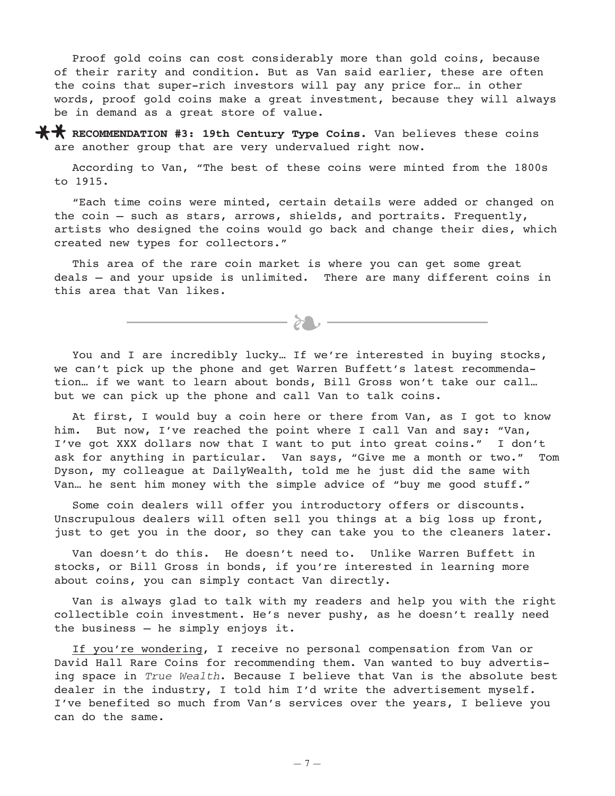Proof gold coins can cost considerably more than gold coins, because of their rarity and condition. But as Van said earlier, these are often the coins that super-rich investors will pay any price for… in other words, proof gold coins make a great investment, because they will always be in demand as a great store of value.

\*\* RECOMMENDATION #3: 19th Century Type Coins. Van believes these coins are another group that are very undervalued right now.

According to Van, "The best of these coins were minted from the 1800s to 1915.

"Each time coins were minted, certain details were added or changed on the coin — such as stars, arrows, shields, and portraits. Frequently, artists who designed the coins would go back and change their dies, which created new types for collectors."

This area of the rare coin market is where you can get some great deals — and your upside is unlimited. There are many different coins in this area that Van likes.

 $\longrightarrow \infty$ 

You and I are incredibly lucky... If we're interested in buying stocks, we can't pick up the phone and get Warren Buffett's latest recommendation… if we want to learn about bonds, Bill Gross won't take our call… but we can pick up the phone and call Van to talk coins.

At first, I would buy a coin here or there from Van, as I got to know him. But now, I've reached the point where I call Van and say: "Van, I've got XXX dollars now that I want to put into great coins." I don't ask for anything in particular. Van says, "Give me a month or two." Tom Dyson, my colleague at DailyWealth, told me he just did the same with Van… he sent him money with the simple advice of "buy me good stuff."

Some coin dealers will offer you introductory offers or discounts. Unscrupulous dealers will often sell you things at a big loss up front, just to get you in the door, so they can take you to the cleaners later.

Van doesn't do this. He doesn't need to. Unlike Warren Buffett in stocks, or Bill Gross in bonds, if you're interested in learning more about coins, you can simply contact Van directly.

Van is always glad to talk with my readers and help you with the right collectible coin investment. He's never pushy, as he doesn't really need the business – he simply enjoys it.

If you're wondering, I receive no personal compensation from Van or David Hall Rare Coins for recommending them. Van wanted to buy advertising space in True Wealth. Because I believe that Van is the absolute best dealer in the industry, I told him I'd write the advertisement myself. I've benefited so much from Van's services over the years, I believe you can do the same.